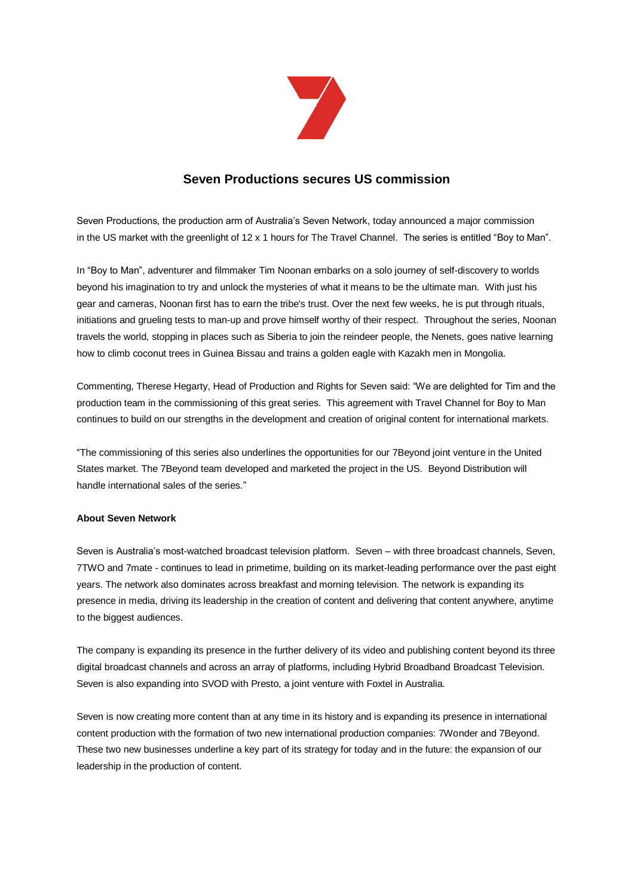

## **Seven Productions secures US commission**

Seven Productions, the production arm of Australia's Seven Network, today announced a major commission in the US market with the greenlight of 12 x 1 hours for The Travel Channel. The series is entitled "Boy to Man".

In "Boy to Man", adventurer and filmmaker Tim Noonan embarks on a solo journey of self-discovery to worlds beyond his imagination to try and unlock the mysteries of what it means to be the ultimate man. With just his gear and cameras, Noonan first has to earn the tribe's trust. Over the next few weeks, he is put through rituals, initiations and grueling tests to man-up and prove himself worthy of their respect. Throughout the series, Noonan travels the world, stopping in places such as Siberia to join the reindeer people, the Nenets, goes native learning how to climb coconut trees in Guinea Bissau and trains a golden eagle with Kazakh men in Mongolia.

Commenting, Therese Hegarty, Head of Production and Rights for Seven said: "We are delighted for Tim and the production team in the commissioning of this great series. This agreement with Travel Channel for Boy to Man continues to build on our strengths in the development and creation of original content for international markets.

"The commissioning of this series also underlines the opportunities for our 7Beyond joint venture in the United States market. The 7Beyond team developed and marketed the project in the US. Beyond Distribution will handle international sales of the series."

## **About Seven Network**

Seven is Australia's most-watched broadcast television platform. Seven – with three broadcast channels, Seven, 7TWO and 7mate - continues to lead in primetime, building on its market-leading performance over the past eight years. The network also dominates across breakfast and morning television. The network is expanding its presence in media, driving its leadership in the creation of content and delivering that content anywhere, anytime to the biggest audiences.

The company is expanding its presence in the further delivery of its video and publishing content beyond its three digital broadcast channels and across an array of platforms, including Hybrid Broadband Broadcast Television. Seven is also expanding into SVOD with Presto, a joint venture with Foxtel in Australia.

Seven is now creating more content than at any time in its history and is expanding its presence in international content production with the formation of two new international production companies: 7Wonder and 7Beyond. These two new businesses underline a key part of its strategy for today and in the future: the expansion of our leadership in the production of content.